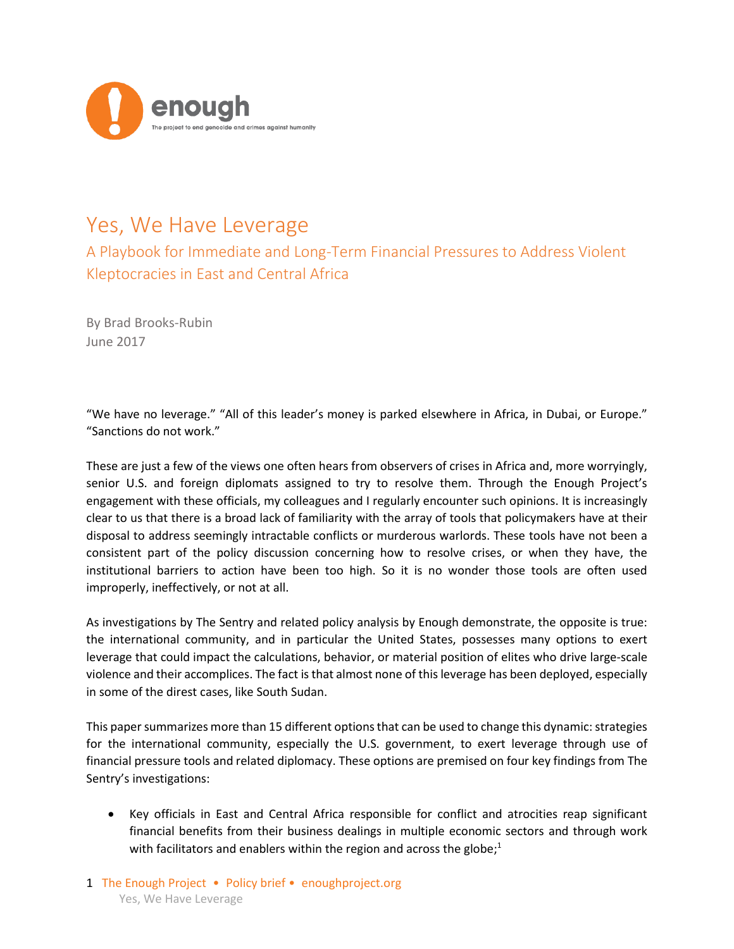

# Yes, We Have Leverage

A Playbook for Immediate and Long-Term Financial Pressures to Address Violent Kleptocracies in East and Central Africa

By Brad Brooks-Rubin June 2017

"We have no leverage." "All of this leader's money is parked elsewhere in Africa, in Dubai, or Europe." "Sanctions do not work."

These are just a few of the views one often hears from observers of crises in Africa and, more worryingly, senior U.S. and foreign diplomats assigned to try to resolve them. Through the Enough Project's engagement with these officials, my colleagues and I regularly encounter such opinions. It is increasingly clear to us that there is a broad lack of familiarity with the array of tools that policymakers have at their disposal to address seemingly intractable conflicts or murderous warlords. These tools have not been a consistent part of the policy discussion concerning how to resolve crises, or when they have, the institutional barriers to action have been too high. So it is no wonder those tools are often used improperly, ineffectively, or not at all.

As investigations by The Sentry and related policy analysis by Enough demonstrate, the opposite is true: the international community, and in particular the United States, possesses many options to exert leverage that could impact the calculations, behavior, or material position of elites who drive large-scale violence and their accomplices. The fact is that almost none of this leverage has been deployed, especially in some of the direst cases, like South Sudan.

This paper summarizes more than 15 different options that can be used to change this dynamic: strategies for the international community, especially the U.S. government, to exert leverage through use of financial pressure tools and related diplomacy. These options are premised on four key findings from The Sentry's investigations:

 Key officials in East and Central Africa responsible for conflict and atrocities reap significant financial benefits from their business dealings in multiple economic sectors and through work with facilitators and enablers within the region and across the globe;<sup>1</sup>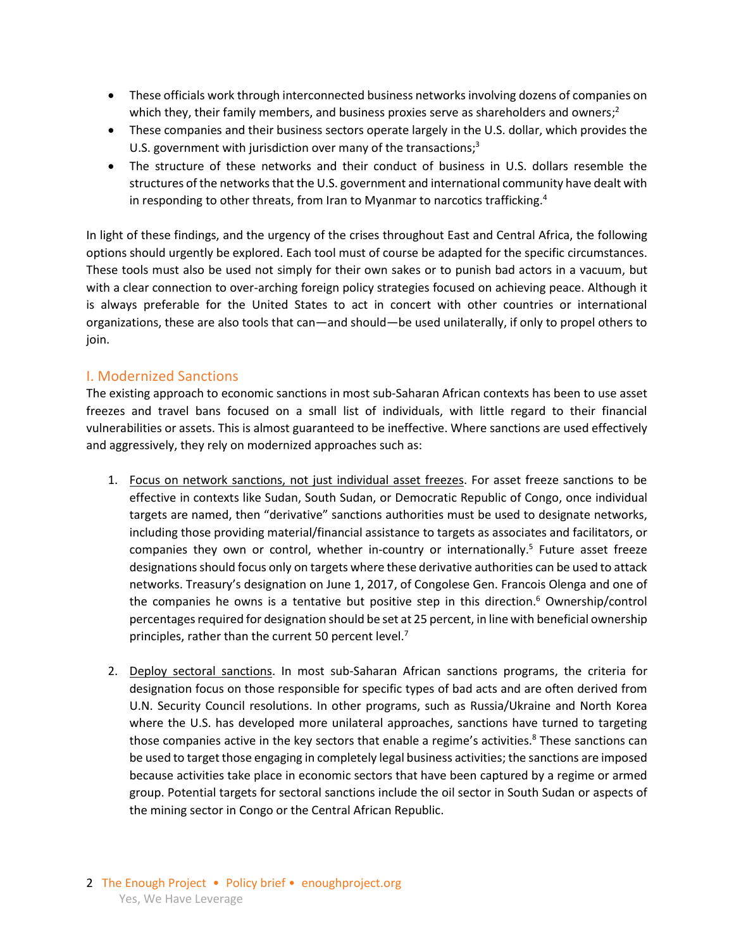- These officials work through interconnected business networks involving dozens of companies on which they, their family members, and business proxies serve as shareholders and owners;<sup>2</sup>
- These companies and their business sectors operate largely in the U.S. dollar, which provides the U.S. government with jurisdiction over many of the transactions;<sup>3</sup>
- The structure of these networks and their conduct of business in U.S. dollars resemble the structures of the networks that the U.S. government and international community have dealt with in responding to other threats, from Iran to Myanmar to narcotics trafficking.<sup>4</sup>

In light of these findings, and the urgency of the crises throughout East and Central Africa, the following options should urgently be explored. Each tool must of course be adapted for the specific circumstances. These tools must also be used not simply for their own sakes or to punish bad actors in a vacuum, but with a clear connection to over-arching foreign policy strategies focused on achieving peace. Although it is always preferable for the United States to act in concert with other countries or international organizations, these are also tools that can—and should—be used unilaterally, if only to propel others to join.

#### I. Modernized Sanctions

The existing approach to economic sanctions in most sub-Saharan African contexts has been to use asset freezes and travel bans focused on a small list of individuals, with little regard to their financial vulnerabilities or assets. This is almost guaranteed to be ineffective. Where sanctions are used effectively and aggressively, they rely on modernized approaches such as:

- 1. Focus on network sanctions, not just individual asset freezes. For asset freeze sanctions to be effective in contexts like Sudan, South Sudan, or Democratic Republic of Congo, once individual targets are named, then "derivative" sanctions authorities must be used to designate networks, including those providing material/financial assistance to targets as associates and facilitators, or companies they own or control, whether in-country or internationally. 5 Future asset freeze designations should focus only on targets where these derivative authorities can be used to attack networks. Treasury's designation on June 1, 2017, of Congolese Gen. Francois Olenga and one of the companies he owns is a tentative but positive step in this direction.<sup>6</sup> Ownership/control percentages required for designation should be set at 25 percent, in line with beneficial ownership principles, rather than the current 50 percent level.<sup>7</sup>
- 2. Deploy sectoral sanctions. In most sub-Saharan African sanctions programs, the criteria for designation focus on those responsible for specific types of bad acts and are often derived from U.N. Security Council resolutions. In other programs, such as Russia/Ukraine and North Korea where the U.S. has developed more unilateral approaches, sanctions have turned to targeting those companies active in the key sectors that enable a regime's activities. $8$  These sanctions can be used to target those engaging in completely legal business activities; the sanctions are imposed because activities take place in economic sectors that have been captured by a regime or armed group. Potential targets for sectoral sanctions include the oil sector in South Sudan or aspects of the mining sector in Congo or the Central African Republic.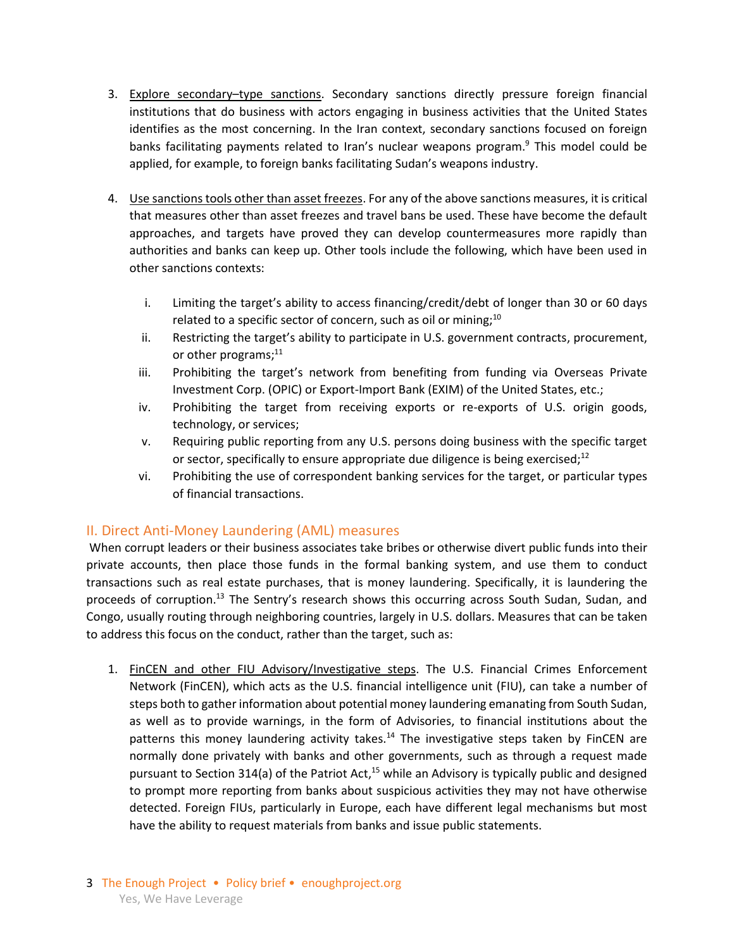- 3. Explore secondary–type sanctions. Secondary sanctions directly pressure foreign financial institutions that do business with actors engaging in business activities that the United States identifies as the most concerning. In the Iran context, secondary sanctions focused on foreign banks facilitating payments related to Iran's nuclear weapons program. <sup>9</sup> This model could be applied, for example, to foreign banks facilitating Sudan's weapons industry.
- 4. Use sanctions tools other than asset freezes. For any of the above sanctions measures, it is critical that measures other than asset freezes and travel bans be used. These have become the default approaches, and targets have proved they can develop countermeasures more rapidly than authorities and banks can keep up. Other tools include the following, which have been used in other sanctions contexts:
	- i. Limiting the target's ability to access financing/credit/debt of longer than 30 or 60 days related to a specific sector of concern, such as oil or mining;<sup>10</sup>
	- ii. Restricting the target's ability to participate in U.S. government contracts, procurement, or other programs;<sup>11</sup>
	- iii. Prohibiting the target's network from benefiting from funding via Overseas Private Investment Corp. (OPIC) or Export-Import Bank (EXIM) of the United States, etc.;
	- iv. Prohibiting the target from receiving exports or re-exports of U.S. origin goods, technology, or services;
	- v. Requiring public reporting from any U.S. persons doing business with the specific target or sector, specifically to ensure appropriate due diligence is being exercised; $12$
	- vi. Prohibiting the use of correspondent banking services for the target, or particular types of financial transactions.

## II. Direct Anti-Money Laundering (AML) measures

When corrupt leaders or their business associates take bribes or otherwise divert public funds into their private accounts, then place those funds in the formal banking system, and use them to conduct transactions such as real estate purchases, that is money laundering. Specifically, it is laundering the proceeds of corruption.<sup>13</sup> The Sentry's research shows this occurring across South Sudan, Sudan, and Congo, usually routing through neighboring countries, largely in U.S. dollars. Measures that can be taken to address this focus on the conduct, rather than the target, such as:

1. FinCEN and other FIU Advisory/Investigative steps. The U.S. Financial Crimes Enforcement Network (FinCEN), which acts as the U.S. financial intelligence unit (FIU), can take a number of steps both to gather information about potential money laundering emanating from South Sudan, as well as to provide warnings, in the form of Advisories, to financial institutions about the patterns this money laundering activity takes.<sup>14</sup> The investigative steps taken by FinCEN are normally done privately with banks and other governments, such as through a request made pursuant to Section 314(a) of the Patriot Act,<sup>15</sup> while an Advisory is typically public and designed to prompt more reporting from banks about suspicious activities they may not have otherwise detected. Foreign FIUs, particularly in Europe, each have different legal mechanisms but most have the ability to request materials from banks and issue public statements.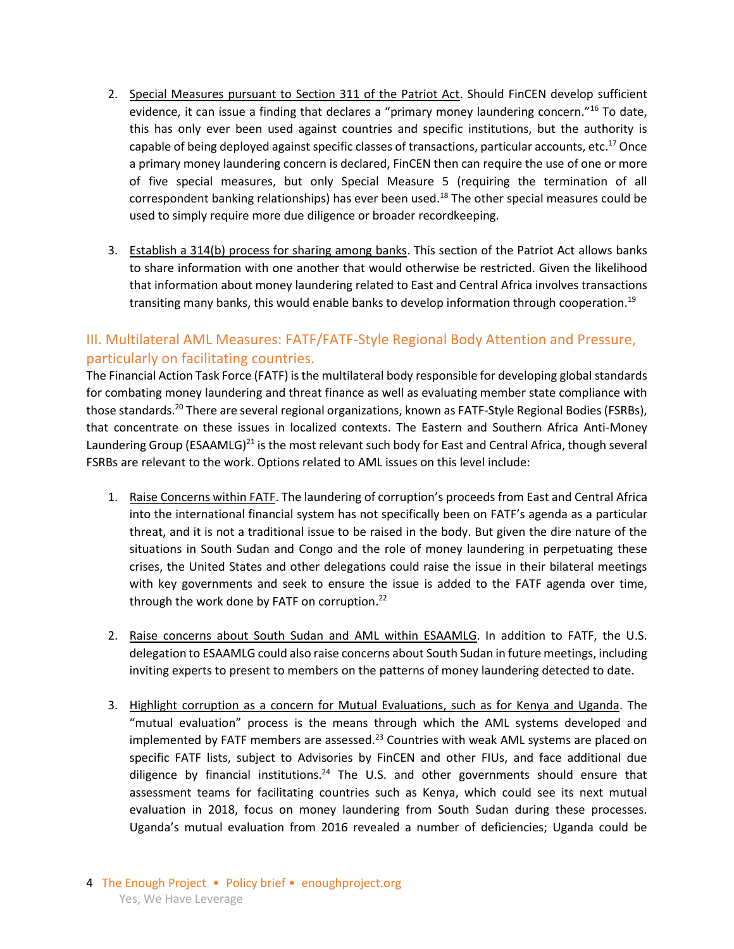- 2. Special Measures pursuant to Section 311 of the Patriot Act. Should FinCEN develop sufficient evidence, it can issue a finding that declares a "primary money laundering concern."<sup>16</sup> To date, this has only ever been used against countries and specific institutions, but the authority is capable of being deployed against specific classes of transactions, particular accounts, etc. $^{17}$  Once a primary money laundering concern is declared, FinCEN then can require the use of one or more of five special measures, but only Special Measure 5 (requiring the termination of all correspondent banking relationships) has ever been used.<sup>18</sup> The other special measures could be used to simply require more due diligence or broader recordkeeping.
- 3. Establish a 314(b) process for sharing among banks. This section of the Patriot Act allows banks to share information with one another that would otherwise be restricted. Given the likelihood that information about money laundering related to East and Central Africa involves transactions transiting many banks, this would enable banks to develop information through cooperation.<sup>19</sup>

# III. Multilateral AML Measures: FATF/FATF-Style Regional Body Attention and Pressure, particularly on facilitating countries.

The Financial Action Task Force (FATF) is the multilateral body responsible for developing global standards for combating money laundering and threat finance as well as evaluating member state compliance with those standards.<sup>20</sup> There are several regional organizations, known as FATF-Style Regional Bodies (FSRBs), that concentrate on these issues in localized contexts. The Eastern and Southern Africa Anti-Money Laundering Group (ESAAMLG)<sup>21</sup> is the most relevant such body for East and Central Africa, though several FSRBs are relevant to the work. Options related to AML issues on this level include:

- 1. Raise Concerns within FATF. The laundering of corruption's proceeds from East and Central Africa into the international financial system has not specifically been on FATF's agenda as a particular threat, and it is not a traditional issue to be raised in the body. But given the dire nature of the situations in South Sudan and Congo and the role of money laundering in perpetuating these crises, the United States and other delegations could raise the issue in their bilateral meetings with key governments and seek to ensure the issue is added to the FATF agenda over time, through the work done by FATF on corruption. 22
- 2. Raise concerns about South Sudan and AML within ESAAMLG. In addition to FATF, the U.S. delegation to ESAAMLG could also raise concerns about South Sudan in future meetings, including inviting experts to present to members on the patterns of money laundering detected to date.
- 3. Highlight corruption as a concern for Mutual Evaluations, such as for Kenya and Uganda. The "mutual evaluation" process is the means through which the AML systems developed and implemented by FATF members are assessed.<sup>23</sup> Countries with weak AML systems are placed on specific FATF lists, subject to Advisories by FinCEN and other FIUs, and face additional due diligence by financial institutions.<sup>24</sup> The U.S. and other governments should ensure that assessment teams for facilitating countries such as Kenya, which could see its next mutual evaluation in 2018, focus on money laundering from South Sudan during these processes. Uganda's mutual evaluation from 2016 revealed a number of deficiencies; Uganda could be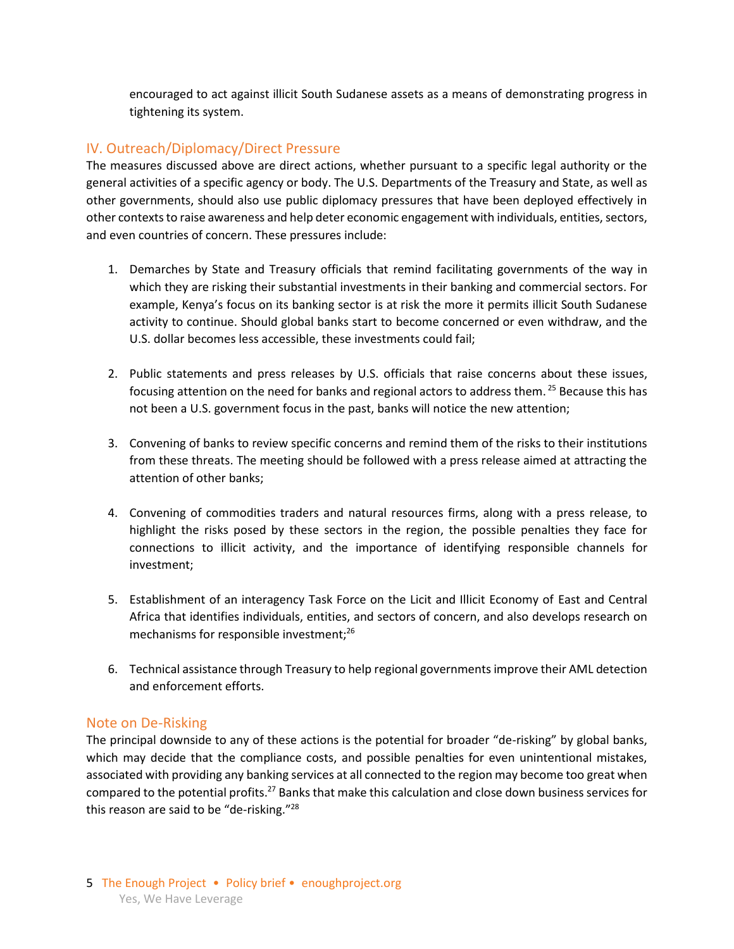encouraged to act against illicit South Sudanese assets as a means of demonstrating progress in tightening its system.

### IV. Outreach/Diplomacy/Direct Pressure

The measures discussed above are direct actions, whether pursuant to a specific legal authority or the general activities of a specific agency or body. The U.S. Departments of the Treasury and State, as well as other governments, should also use public diplomacy pressures that have been deployed effectively in other contexts to raise awareness and help deter economic engagement with individuals, entities, sectors, and even countries of concern. These pressures include:

- 1. Demarches by State and Treasury officials that remind facilitating governments of the way in which they are risking their substantial investments in their banking and commercial sectors. For example, Kenya's focus on its banking sector is at risk the more it permits illicit South Sudanese activity to continue. Should global banks start to become concerned or even withdraw, and the U.S. dollar becomes less accessible, these investments could fail;
- 2. Public statements and press releases by U.S. officials that raise concerns about these issues, focusing attention on the need for banks and regional actors to address them.<sup>25</sup> Because this has not been a U.S. government focus in the past, banks will notice the new attention;
- 3. Convening of banks to review specific concerns and remind them of the risks to their institutions from these threats. The meeting should be followed with a press release aimed at attracting the attention of other banks;
- 4. Convening of commodities traders and natural resources firms, along with a press release, to highlight the risks posed by these sectors in the region, the possible penalties they face for connections to illicit activity, and the importance of identifying responsible channels for investment;
- 5. Establishment of an interagency Task Force on the Licit and Illicit Economy of East and Central Africa that identifies individuals, entities, and sectors of concern, and also develops research on mechanisms for responsible investment;<sup>26</sup>
- 6. Technical assistance through Treasury to help regional governments improve their AML detection and enforcement efforts.

#### Note on De-Risking

The principal downside to any of these actions is the potential for broader "de-risking" by global banks, which may decide that the compliance costs, and possible penalties for even unintentional mistakes, associated with providing any banking services at all connected to the region may become too great when compared to the potential profits.<sup>27</sup> Banks that make this calculation and close down business services for this reason are said to be "de-risking."28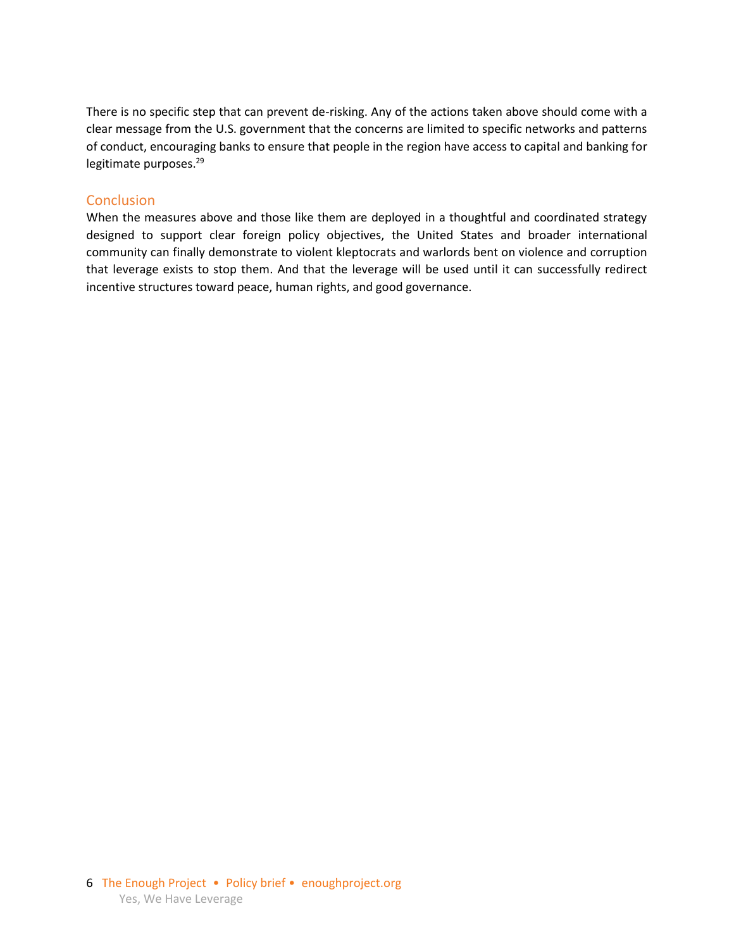There is no specific step that can prevent de-risking. Any of the actions taken above should come with a clear message from the U.S. government that the concerns are limited to specific networks and patterns of conduct, encouraging banks to ensure that people in the region have access to capital and banking for legitimate purposes.<sup>29</sup>

#### **Conclusion**

When the measures above and those like them are deployed in a thoughtful and coordinated strategy designed to support clear foreign policy objectives, the United States and broader international community can finally demonstrate to violent kleptocrats and warlords bent on violence and corruption that leverage exists to stop them. And that the leverage will be used until it can successfully redirect incentive structures toward peace, human rights, and good governance.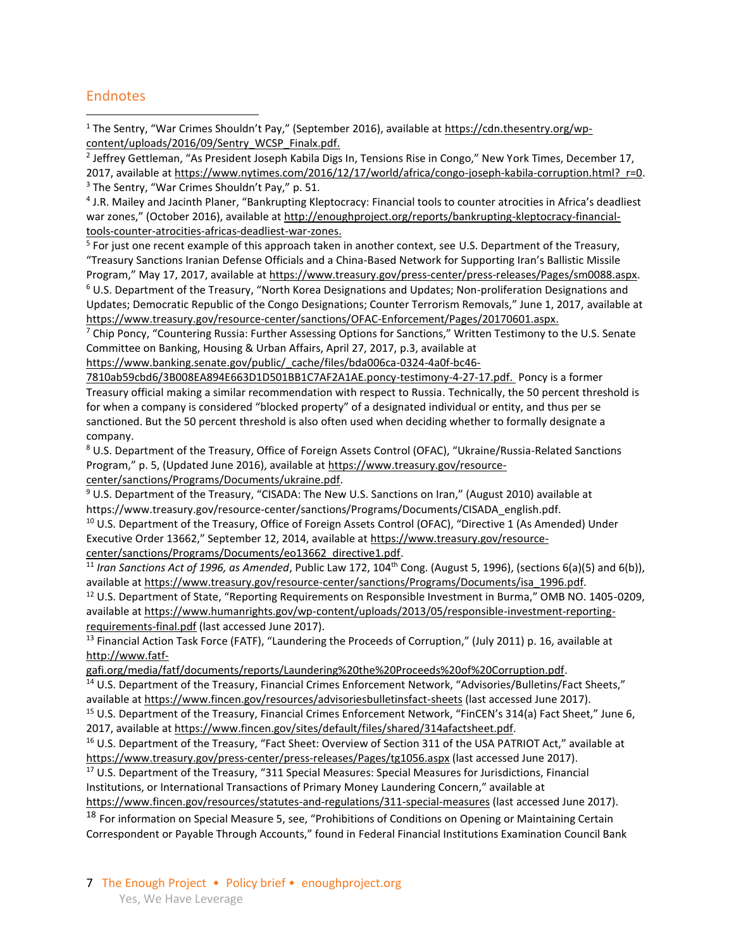## **Endnotes**

 $\overline{a}$ 

<sup>1</sup> The Sentry, "War Crimes Shouldn't Pay," (September 2016), available at [https://cdn.thesentry.org/wp](https://cdn.thesentry.org/wp-content/uploads/2016/09/Sentry_WCSP_Finalx.pdf.)[content/uploads/2016/09/Sentry\\_WCSP\\_Finalx.pdf.](https://cdn.thesentry.org/wp-content/uploads/2016/09/Sentry_WCSP_Finalx.pdf.)

<sup>2</sup> Jeffrey Gettleman, "As President Joseph Kabila Digs In, Tensions Rise in Congo," New York Times, December 17, 2017, available at https://www.nytimes.com/2016/12/17/world/africa/congo-joseph-kabila-corruption.html? r=0.  $3$  The Sentry, "War Crimes Shouldn't Pay," p. 51.

4 J.R. Mailey and Jacinth Planer, "Bankrupting Kleptocracy: Financial tools to counter atrocities in Africa's deadliest war zones," (October 2016), available at [http://enoughproject.org/reports/bankrupting-kleptocracy-financial](http://enoughproject.org/reports/bankrupting-kleptocracy-financial-tools-counter-atrocities-africas-deadliest-war-zones.)[tools-counter-atrocities-africas-deadliest-war-zones.](http://enoughproject.org/reports/bankrupting-kleptocracy-financial-tools-counter-atrocities-africas-deadliest-war-zones.)

<sup>5</sup> For just one recent example of this approach taken in another context, see U.S. Department of the Treasury, "Treasury Sanctions Iranian Defense Officials and a China-Based Network for Supporting Iran's Ballistic Missile Program," May 17, 2017, available at [https://www.treasury.gov/press-center/press-releases/Pages/sm0088.aspx.](https://www.treasury.gov/press-center/press-releases/Pages/sm0088.aspx)

<sup>6</sup> U.S. Department of the Treasury, "North Korea Designations and Updates; Non-proliferation Designations and Updates; Democratic Republic of the Congo Designations; Counter Terrorism Removals," June 1, 2017, available at <https://www.treasury.gov/resource-center/sanctions/OFAC-Enforcement/Pages/20170601.aspx.>

 $7$  Chip Poncy, "Countering Russia: Further Assessing Options for Sanctions," Written Testimony to the U.S. Senate Committee on Banking, Housing & Urban Affairs, April 27, 2017, p.3, available at

[https://www.banking.senate.gov/public/\\_cache/files/bda006ca-0324-4a0f-bc46-](https://www.banking.senate.gov/public/_cache/files/bda006ca-0324-4a0f-bc46-7810ab59cbd6/3B008EA894E663D1D501BB1C7AF2A1AE.poncy-testimony-4-27-17.pdf)

[7810ab59cbd6/3B008EA894E663D1D501BB1C7AF2A1AE.poncy-testimony-4-27-17.pdf.](https://www.banking.senate.gov/public/_cache/files/bda006ca-0324-4a0f-bc46-7810ab59cbd6/3B008EA894E663D1D501BB1C7AF2A1AE.poncy-testimony-4-27-17.pdf) Poncy is a former Treasury official making a similar recommendation with respect to Russia. Technically, the 50 percent threshold is for when a company is considered "blocked property" of a designated individual or entity, and thus per se sanctioned. But the 50 percent threshold is also often used when deciding whether to formally designate a company.

<sup>8</sup> U.S. Department of the Treasury, Office of Foreign Assets Control (OFAC), "Ukraine/Russia-Related Sanctions Program," p. 5, (Updated June 2016), available at [https://www.treasury.gov/resource](https://www.treasury.gov/resource-center/sanctions/Programs/Documents/ukraine.pdf)[center/sanctions/Programs/Documents/ukraine.pdf.](https://www.treasury.gov/resource-center/sanctions/Programs/Documents/ukraine.pdf)

<sup>9</sup> U.S. Department of the Treasury, "CISADA: The New U.S. Sanctions on Iran," (August 2010) available at https://www.treasury.gov/resource-center/sanctions/Programs/Documents/CISADA\_english.pdf.

<sup>10</sup> U.S. Department of the Treasury, Office of Foreign Assets Control (OFAC), "Directive 1 (As Amended) Under Executive Order 13662," September 12, 2014, available at [https://www.treasury.gov/resource](https://www.treasury.gov/resource-center/sanctions/Programs/Documents/eo13662_directive1.pdf)[center/sanctions/Programs/Documents/eo13662\\_directive1.pdf.](https://www.treasury.gov/resource-center/sanctions/Programs/Documents/eo13662_directive1.pdf)

<sup>11</sup> Iran Sanctions Act of 1996, as Amended, Public Law 172, 104<sup>th</sup> Cong. (August 5, 1996), (sections 6(a)(5) and 6(b)), available a[t https://www.treasury.gov/resource-center/sanctions/Programs/Documents/isa\\_1996.pdf.](https://www.treasury.gov/resource-center/sanctions/Programs/Documents/isa_1996.pdf)

<sup>12</sup> U.S. Department of State, "Reporting Requirements on Responsible Investment in Burma," OMB NO. 1405-0209, available a[t https://www.humanrights.gov/wp-content/uploads/2013/05/responsible-investment-reporting](https://www.humanrights.gov/wp-content/uploads/2013/05/responsible-investment-reporting-requirements-final.pdf)[requirements-final.pdf](https://www.humanrights.gov/wp-content/uploads/2013/05/responsible-investment-reporting-requirements-final.pdf) (last accessed June 2017).

<sup>13</sup> Financial Action Task Force (FATF), "Laundering the Proceeds of Corruption," (July 2011) p. 16, available at [http://www.fatf-](http://www.fatf-gafi.org/media/fatf/documents/reports/Laundering%20the%20Proceeds%20of%20Corruption.pdf)

[gafi.org/media/fatf/documents/reports/Laundering%20the%20Proceeds%20of%20Corruption.pdf.](http://www.fatf-gafi.org/media/fatf/documents/reports/Laundering%20the%20Proceeds%20of%20Corruption.pdf)

<sup>14</sup> U.S. Department of the Treasury, Financial Crimes Enforcement Network, "Advisories/Bulletins/Fact Sheets," available a[t https://www.fincen.gov/resources/advisoriesbulletinsfact-sheets](https://www.fincen.gov/resources/advisoriesbulletinsfact-sheets) (last accessed June 2017).

<sup>15</sup> U.S. Department of the Treasury, Financial Crimes Enforcement Network, "FinCEN's 314(a) Fact Sheet," June 6, 2017, available a[t https://www.fincen.gov/sites/default/files/shared/314afactsheet.pdf.](https://www.fincen.gov/sites/default/files/shared/314afactsheet.pdf)

<sup>16</sup> U.S. Department of the Treasury, "Fact Sheet: Overview of Section 311 of the USA PATRIOT Act," available at <https://www.treasury.gov/press-center/press-releases/Pages/tg1056.aspx> (last accessed June 2017).

<sup>17</sup> U.S. Department of the Treasury, "311 Special Measures: Special Measures for Jurisdictions, Financial Institutions, or International Transactions of Primary Money Laundering Concern," available at

<https://www.fincen.gov/resources/statutes-and-regulations/311-special-measures> (last accessed June 2017).

<sup>18</sup> For information on Special Measure 5, see, "Prohibitions of Conditions on Opening or Maintaining Certain Correspondent or Payable Through Accounts," found in Federal Financial Institutions Examination Council Bank